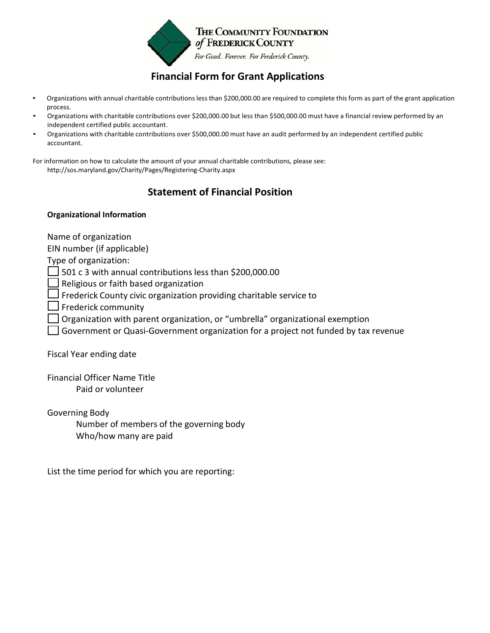

## **Financial Form for Grant Applications**

- Organizations with annual charitable contributions less than \$200,000.00 are required to complete this form as part of the grant application process.
- Organizations with charitable contributions over \$200,000.00 but less than \$500,000.00 must have a financial review performed by an independent certified public accountant.
- Organizations with charitable contributions over \$500,000.00 must have an audit performed by an independent certified public accountant.

For information on how to calculate the amount of your annual charitable contributions, please see: http://sos.maryland.gov/Charity/Pages/Registering-Charity.aspx

## **Statement of Financial Position**

## **Organizational Information**

Name of organization

EIN number (if applicable)

Type of organization:

 $\Box$  501 c 3 with annual contributions less than \$200,000.00

 $\Box$  Religious or faith based organization

 $\Box$  Frederick County civic organization providing charitable service to

- $\Box$  Frederick community
- Organization with parent organization, or "umbrella" organizational exemption
- Government or Quasi-Government organization for a project not funded by tax revenue

Fiscal Year ending date

Financial Officer Name Title Paid or volunteer

Governing Body Number of members of the governing body Who/how many are paid

List the time period for which you are reporting: